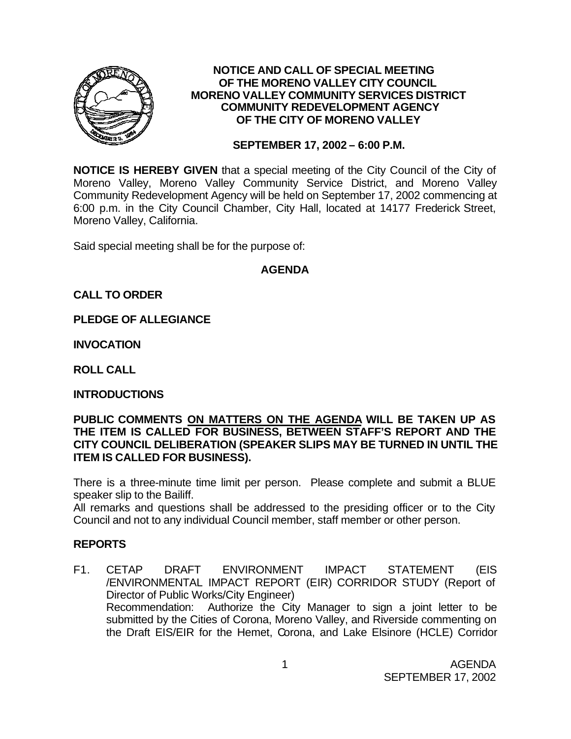

#### **NOTICE AND CALL OF SPECIAL MEETING OF THE MORENO VALLEY CITY COUNCIL MORENO VALLEY COMMUNITY SERVICES DISTRICT COMMUNITY REDEVELOPMENT AGENCY OF THE CITY OF MORENO VALLEY**

### **SEPTEMBER 17, 2002 – 6:00 P.M.**

**NOTICE IS HEREBY GIVEN** that a special meeting of the City Council of the City of Moreno Valley, Moreno Valley Community Service District, and Moreno Valley Community Redevelopment Agency will be held on September 17, 2002 commencing at 6:00 p.m. in the City Council Chamber, City Hall, located at 14177 Frederick Street, Moreno Valley, California.

Said special meeting shall be for the purpose of:

### **AGENDA**

## **CALL TO ORDER**

**PLEDGE OF ALLEGIANCE**

**INVOCATION**

**ROLL CALL**

#### **INTRODUCTIONS**

#### **PUBLIC COMMENTS ON MATTERS ON THE AGENDA WILL BE TAKEN UP AS THE ITEM IS CALLED FOR BUSINESS, BETWEEN STAFF'S REPORT AND THE CITY COUNCIL DELIBERATION (SPEAKER SLIPS MAY BE TURNED IN UNTIL THE ITEM IS CALLED FOR BUSINESS).**

There is a three-minute time limit per person. Please complete and submit a BLUE speaker slip to the Bailiff.

All remarks and questions shall be addressed to the presiding officer or to the City Council and not to any individual Council member, staff member or other person.

## **REPORTS**

F1. CETAP DRAFT ENVIRONMENT IMPACT STATEMENT (EIS /ENVIRONMENTAL IMPACT REPORT (EIR) CORRIDOR STUDY (Report of Director of Public Works/City Engineer) Recommendation: Authorize the City Manager to sign a joint letter to be submitted by the Cities of Corona, Moreno Valley, and Riverside commenting on the Draft EIS/EIR for the Hemet, Corona, and Lake Elsinore (HCLE) Corridor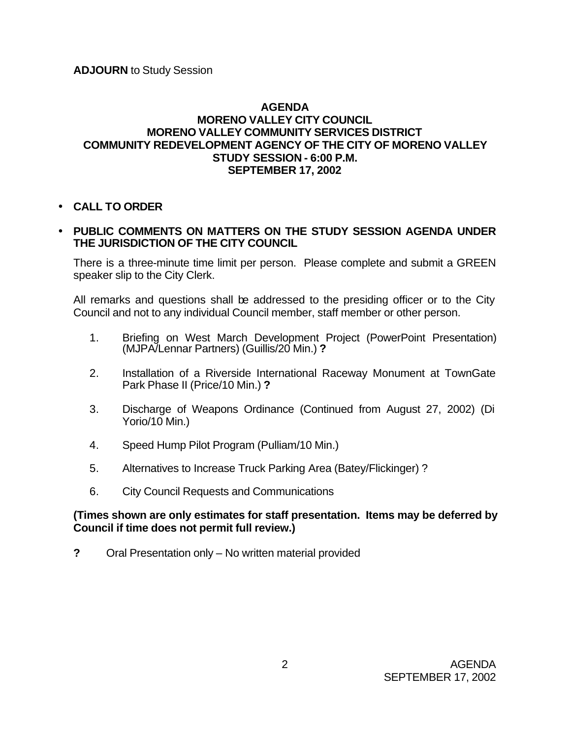### **AGENDA MORENO VALLEY CITY COUNCIL MORENO VALLEY COMMUNITY SERVICES DISTRICT COMMUNITY REDEVELOPMENT AGENCY OF THE CITY OF MORENO VALLEY STUDY SESSION - 6:00 P.M. SEPTEMBER 17, 2002**

• **CALL TO ORDER**

## • **PUBLIC COMMENTS ON MATTERS ON THE STUDY SESSION AGENDA UNDER THE JURISDICTION OF THE CITY COUNCIL**

There is a three-minute time limit per person. Please complete and submit a GREEN speaker slip to the City Clerk.

All remarks and questions shall be addressed to the presiding officer or to the City Council and not to any individual Council member, staff member or other person.

- 1. Briefing on West March Development Project (PowerPoint Presentation) (MJPA/Lennar Partners) (Guillis/20 Min.) **?**
- 2. Installation of a Riverside International Raceway Monument at TownGate Park Phase II (Price/10 Min.) **?**
- 3. Discharge of Weapons Ordinance (Continued from August 27, 2002) (Di Yorio/10 Min.)
- 4. Speed Hump Pilot Program (Pulliam/10 Min.)
- 5. Alternatives to Increase Truck Parking Area (Batey/Flickinger) ?
- 6. City Council Requests and Communications

### **(Times shown are only estimates for staff presentation. Items may be deferred by Council if time does not permit full review.)**

**?** Oral Presentation only – No written material provided